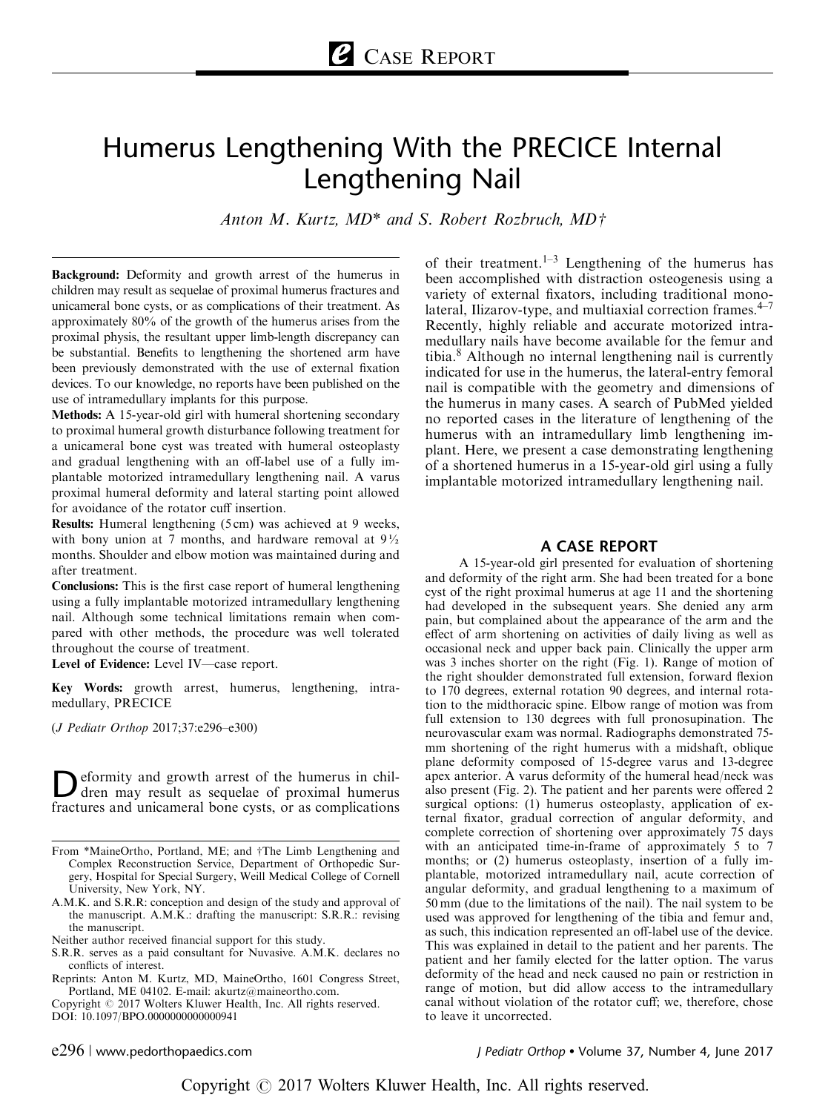# Humerus Lengthening With the PRECICE Internal Lengthening Nail

Anton M. Kurtz,  $MD^*$  and S. Robert Rozbruch,  $MD\ddagger$ 

Background: Deformity and growth arrest of the humerus in children may result as sequelae of proximal humerus fractures and unicameral bone cysts, or as complications of their treatment. As approximately 80% of the growth of the humerus arises from the proximal physis, the resultant upper limb-length discrepancy can be substantial. Benefits to lengthening the shortened arm have been previously demonstrated with the use of external fixation devices. To our knowledge, no reports have been published on the use of intramedullary implants for this purpose.

Methods: A 15-year-old girl with humeral shortening secondary to proximal humeral growth disturbance following treatment for a unicameral bone cyst was treated with humeral osteoplasty and gradual lengthening with an off-label use of a fully implantable motorized intramedullary lengthening nail. A varus proximal humeral deformity and lateral starting point allowed for avoidance of the rotator cuff insertion.

Results: Humeral lengthening (5 cm) was achieved at 9 weeks, with bony union at 7 months, and hardware removal at  $9\frac{1}{2}$ months. Shoulder and elbow motion was maintained during and after treatment.

Conclusions: This is the first case report of humeral lengthening using a fully implantable motorized intramedullary lengthening nail. Although some technical limitations remain when compared with other methods, the procedure was well tolerated throughout the course of treatment.

Level of Evidence: Level IV—case report.

Key Words: growth arrest, humerus, lengthening, intramedullary, PRECICE

(J Pediatr Orthop 2017;37:e296–e300)

Deformity and growth arrest of the humerus in chil-<br>dren may result as sequelae of proximal humerus<br>for the magnetic property of the second sequelations fractures and unicameral bone cysts, or as complications

- A.M.K. and S.R.R: conception and design of the study and approval of the manuscript. A.M.K.: drafting the manuscript: S.R.R.: revising the manuscript.
- Neither author received financial support for this study.
- S.R.R. serves as a paid consultant for Nuvasive. A.M.K. declares no conflicts of interest.

Copyright © 2017 Wolters Kluwer Health, Inc. All rights reserved. DOI: 10.1097/BPO.0000000000000941

 $e296$  | www.pedorthopaedics.com

of their treatment.<sup>[1–3](#page-3-0)</sup> Lengthening of the humerus has been accomplished with distraction osteogenesis using a variety of external fixators, including traditional monolateral, Ilizarov-type, and multiaxial correction frames. $4-7$ Recently, highly reliable and accurate motorized intramedullary nails have become available for the femur and tibia[.8](#page-3-0) Although no internal lengthening nail is currently indicated for use in the humerus, the lateral-entry femoral nail is compatible with the geometry and dimensions of the humerus in many cases. A search of PubMed yielded no reported cases in the literature of lengthening of the humerus with an intramedullary limb lengthening implant. Here, we present a case demonstrating lengthening of a shortened humerus in a 15-year-old girl using a fully implantable motorized intramedullary lengthening nail.

#### A CASE REPORT

A 15-year-old girl presented for evaluation of shortening and deformity of the right arm. She had been treated for a bone cyst of the right proximal humerus at age 11 and the shortening had developed in the subsequent years. She denied any arm pain, but complained about the appearance of the arm and the effect of arm shortening on activities of daily living as well as occasional neck and upper back pain. Clinically the upper arm was 3 inches shorter on the right ([Fig. 1\)](#page-1-0). Range of motion of the right shoulder demonstrated full extension, forward flexion to 170 degrees, external rotation 90 degrees, and internal rotation to the midthoracic spine. Elbow range of motion was from full extension to 130 degrees with full pronosupination. The neurovascular exam was normal. Radiographs demonstrated 75 mm shortening of the right humerus with a midshaft, oblique plane deformity composed of 15-degree varus and 13-degree apex anterior. A varus deformity of the humeral head/neck was also present ([Fig. 2\)](#page-1-0). The patient and her parents were offered 2 surgical options: (1) humerus osteoplasty, application of external fixator, gradual correction of angular deformity, and complete correction of shortening over approximately 75 days with an anticipated time-in-frame of approximately 5 to 7 months; or (2) humerus osteoplasty, insertion of a fully implantable, motorized intramedullary nail, acute correction of angular deformity, and gradual lengthening to a maximum of 50 mm (due to the limitations of the nail). The nail system to be used was approved for lengthening of the tibia and femur and, as such, this indication represented an off-label use of the device. This was explained in detail to the patient and her parents. The patient and her family elected for the latter option. The varus deformity of the head and neck caused no pain or restriction in range of motion, but did allow access to the intramedullary canal without violation of the rotator cuff; we, therefore, chose to leave it uncorrected.

J Pediatr Orthop . Volume 37, Number 4, June 2017

From \*MaineOrtho, Portland, ME; and †The Limb Lengthening and Complex Reconstruction Service, Department of Orthopedic Surgery, Hospital for Special Surgery, Weill Medical College of Cornell University, New York, NY.

Reprints: Anton M. Kurtz, MD, MaineOrtho, 1601 Congress Street, Portland, ME 04102. E-mail: [akurtz@maineortho.com.](mailto:akurtz@maineortho.com)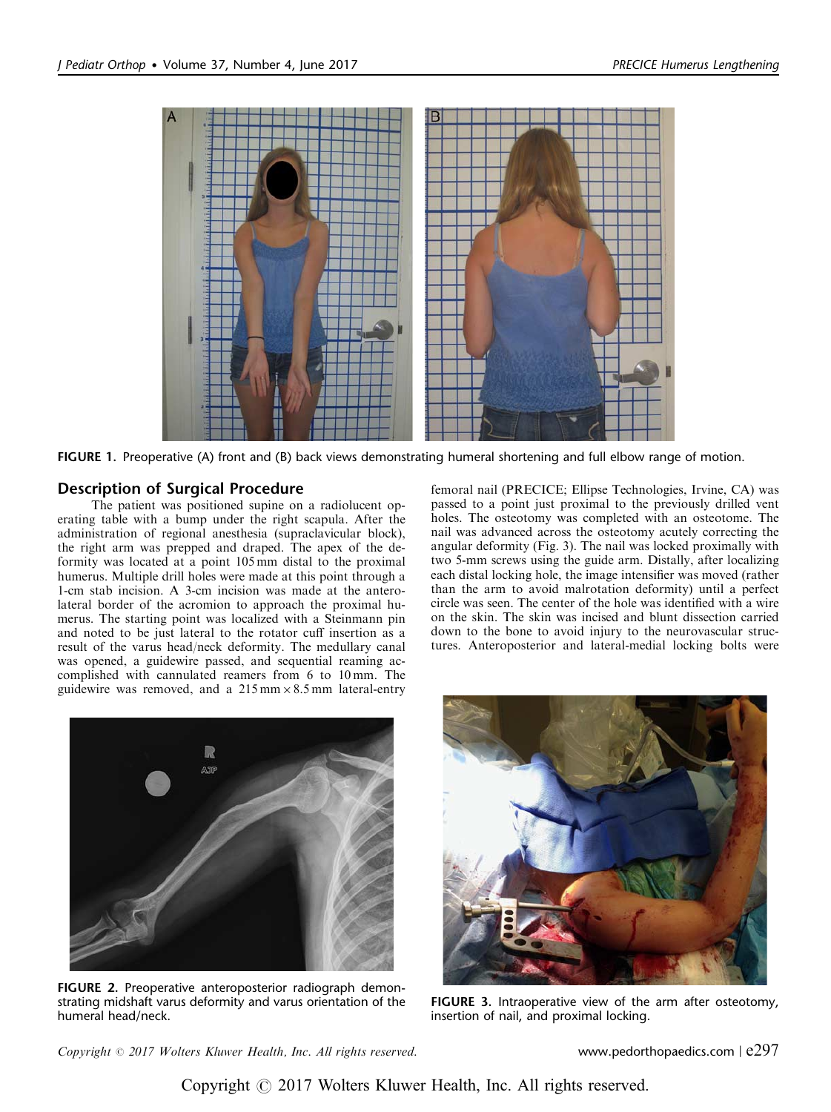<span id="page-1-0"></span>

FIGURE 1. Preoperative (A) front and (B) back views demonstrating humeral shortening and full elbow range of motion.

## Description of Surgical Procedure

The patient was positioned supine on a radiolucent operating table with a bump under the right scapula. After the administration of regional anesthesia (supraclavicular block), the right arm was prepped and draped. The apex of the deformity was located at a point 105 mm distal to the proximal humerus. Multiple drill holes were made at this point through a 1-cm stab incision. A 3-cm incision was made at the anterolateral border of the acromion to approach the proximal humerus. The starting point was localized with a Steinmann pin and noted to be just lateral to the rotator cuff insertion as a result of the varus head/neck deformity. The medullary canal was opened, a guidewire passed, and sequential reaming accomplished with cannulated reamers from 6 to 10 mm. The guidewire was removed, and a  $215 \text{ mm} \times 8.5 \text{ mm}$  lateral-entry

femoral nail (PRECICE; Ellipse Technologies, Irvine, CA) was passed to a point just proximal to the previously drilled vent holes. The osteotomy was completed with an osteotome. The nail was advanced across the osteotomy acutely correcting the angular deformity (Fig. 3). The nail was locked proximally with two 5-mm screws using the guide arm. Distally, after localizing each distal locking hole, the image intensifier was moved (rather than the arm to avoid malrotation deformity) until a perfect circle was seen. The center of the hole was identified with a wire on the skin. The skin was incised and blunt dissection carried down to the bone to avoid injury to the neurovascular structures. Anteroposterior and lateral-medial locking bolts were



FIGURE 2. Preoperative anteroposterior radiograph demonstrating midshaft varus deformity and varus orientation of the humeral head/neck.



FIGURE 3. Intraoperative view of the arm after osteotomy, insertion of nail, and proximal locking.

Copyright  $\degree$  2017 Wolters Kluwer Health, Inc. All rights reserved. www.pedorthopaedics.com | e297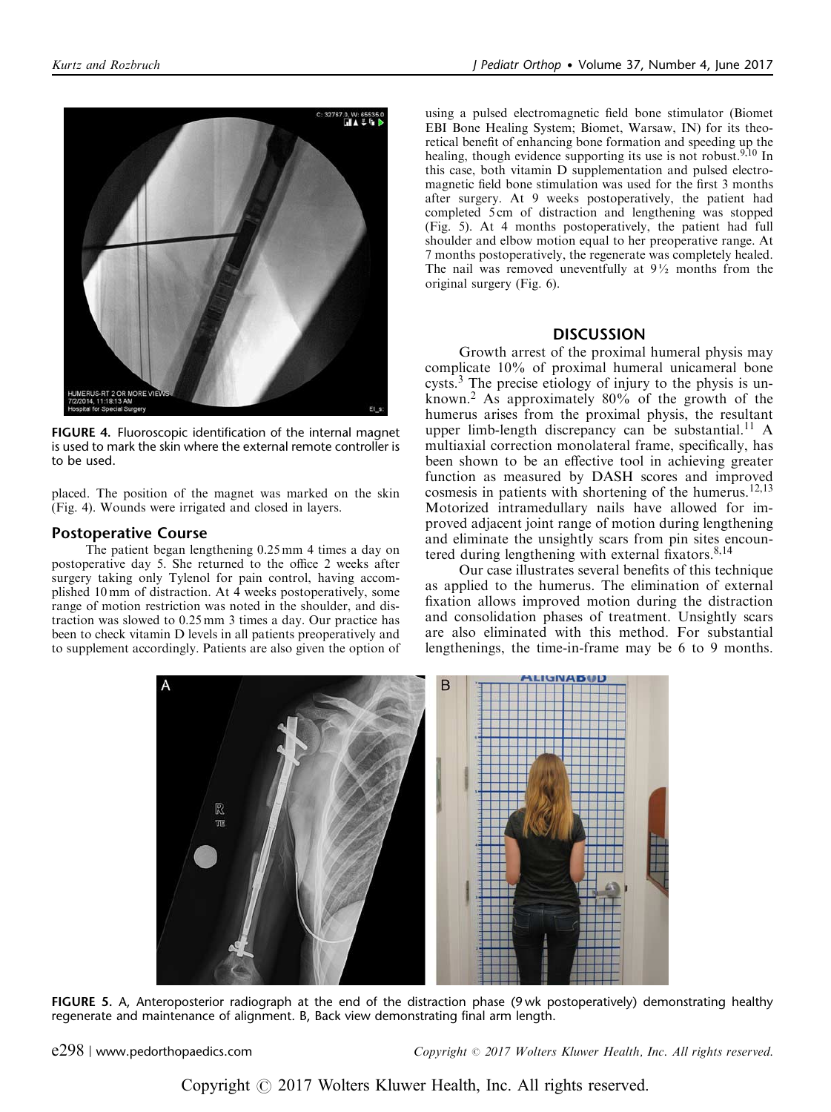

FIGURE 4. Fluoroscopic identification of the internal magnet is used to mark the skin where the external remote controller is to be used.

placed. The position of the magnet was marked on the skin (Fig. 4). Wounds were irrigated and closed in layers.

### Postoperative Course

The patient began lengthening 0.25 mm 4 times a day on postoperative day 5. She returned to the office 2 weeks after surgery taking only Tylenol for pain control, having accomplished 10 mm of distraction. At 4 weeks postoperatively, some range of motion restriction was noted in the shoulder, and distraction was slowed to 0.25 mm 3 times a day. Our practice has been to check vitamin D levels in all patients preoperatively and to supplement accordingly. Patients are also given the option of

using a pulsed electromagnetic field bone stimulator (Biomet EBI Bone Healing System; Biomet, Warsaw, IN) for its theoretical benefit of enhancing bone formation and speeding up the healing, though evidence supporting its use is not robust.<sup>[9,10](#page-3-0)</sup> In this case, both vitamin D supplementation and pulsed electromagnetic field bone stimulation was used for the first 3 months after surgery. At 9 weeks postoperatively, the patient had completed 5 cm of distraction and lengthening was stopped (Fig. 5). At 4 months postoperatively, the patient had full shoulder and elbow motion equal to her preoperative range. At 7 months postoperatively, the regenerate was completely healed. The nail was removed uneventfully at  $9\frac{1}{2}$  months from the original surgery [\(Fig. 6\)](#page-3-0).

### **DISCUSSION**

Growth arrest of the proximal humeral physis may complicate 10% of proximal humeral unicameral bone cysts.[3](#page-3-0) The precise etiology of injury to the physis is unknown.[2](#page-3-0) As approximately 80% of the growth of the humerus arises from the proximal physis, the resultant upper limb-length discrepancy can be substantial.<sup>[11](#page-3-0)</sup> A multiaxial correction monolateral frame, specifically, has been shown to be an effective tool in achieving greater function as measured by DASH scores and improved cosmesis in patients with shortening of the humerus.<sup>[12,13](#page-3-0)</sup> Motorized intramedullary nails have allowed for improved adjacent joint range of motion during lengthening and eliminate the unsightly scars from pin sites encoun-tered during lengthening with external fixators.<sup>[8,14](#page-3-0)</sup>

Our case illustrates several benefits of this technique as applied to the humerus. The elimination of external fixation allows improved motion during the distraction and consolidation phases of treatment. Unsightly scars are also eliminated with this method. For substantial lengthenings, the time-in-frame may be 6 to 9 months.



FIGURE 5. A, Anteroposterior radiograph at the end of the distraction phase (9 wk postoperatively) demonstrating healthy regenerate and maintenance of alignment. B, Back view demonstrating final arm length.

e298 | www.pedorthopaedics.com Copyright © 2017 Wolters Kluwer Health, Inc. All rights reserved.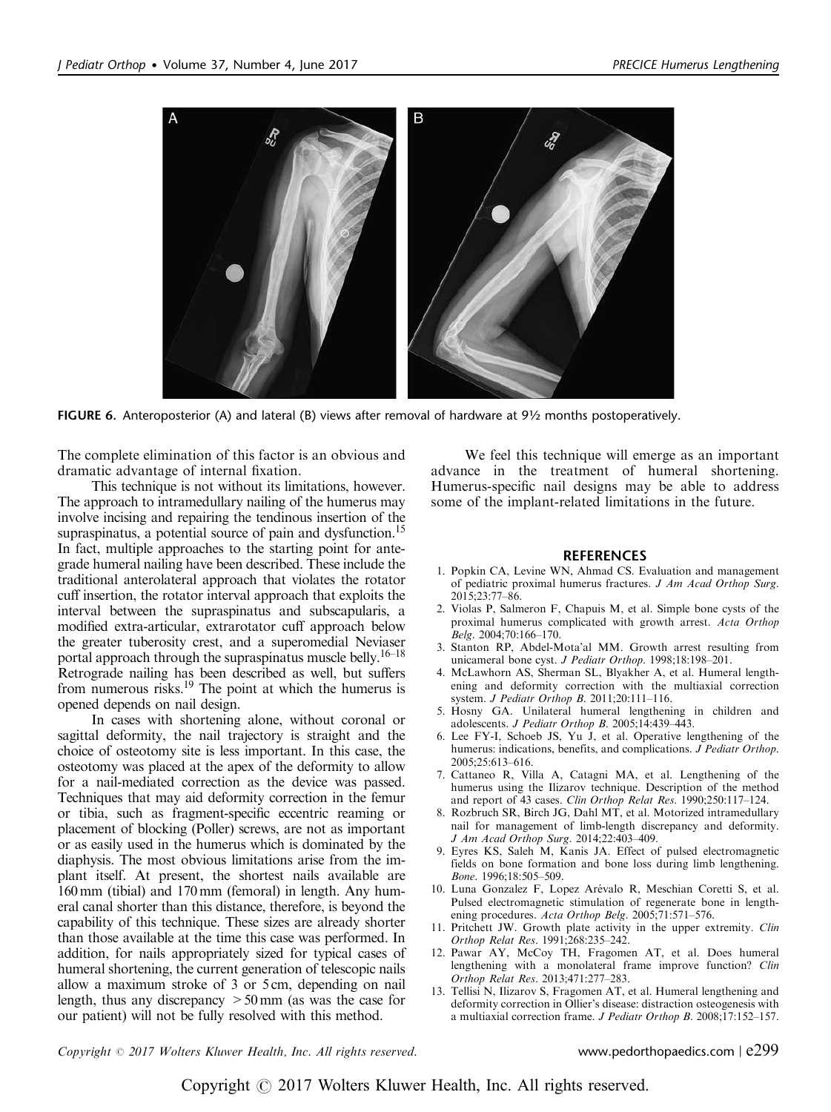<span id="page-3-0"></span>

FIGURE 6. Anteroposterior (A) and lateral (B) views after removal of hardware at 9½ months postoperatively.

The complete elimination of this factor is an obvious and dramatic advantage of internal fixation.

This technique is not without its limitations, however. The approach to intramedullary nailing of the humerus may involve incising and repairing the tendinous insertion of the supraspinatus, a potential source of pain and dysfunction.<sup>15</sup> In fact, multiple approaches to the starting point for antegrade humeral nailing have been described. These include the traditional anterolateral approach that violates the rotator cuff insertion, the rotator interval approach that exploits the interval between the supraspinatus and subscapularis, a modified extra-articular, extrarotator cuff approach below the greater tuberosity crest, and a superomedial Neviaser portal approach through the supraspinatus muscle belly.[16–18](#page-4-0) Retrograde nailing has been described as well, but suffers from numerous risks.<sup>19</sup> The point at which the humerus is opened depends on nail design.

In cases with shortening alone, without coronal or sagittal deformity, the nail trajectory is straight and the choice of osteotomy site is less important. In this case, the osteotomy was placed at the apex of the deformity to allow for a nail-mediated correction as the device was passed. Techniques that may aid deformity correction in the femur or tibia, such as fragment-specific eccentric reaming or placement of blocking (Poller) screws, are not as important or as easily used in the humerus which is dominated by the diaphysis. The most obvious limitations arise from the implant itself. At present, the shortest nails available are 160 mm (tibial) and 170 mm (femoral) in length. Any humeral canal shorter than this distance, therefore, is beyond the capability of this technique. These sizes are already shorter than those available at the time this case was performed. In addition, for nails appropriately sized for typical cases of humeral shortening, the current generation of telescopic nails allow a maximum stroke of 3 or 5 cm, depending on nail length, thus any discrepancy  $>50 \text{ mm}$  (as was the case for our patient) will not be fully resolved with this method.

We feel this technique will emerge as an important advance in the treatment of humeral shortening. Humerus-specific nail designs may be able to address some of the implant-related limitations in the future.

#### **REFERENCES**

- 1. Popkin CA, Levine WN, Ahmad CS. Evaluation and management of pediatric proximal humerus fractures. J Am Acad Orthop Surg. 2015;23:77–86.
- 2. Violas P, Salmeron F, Chapuis M, et al. Simple bone cysts of the proximal humerus complicated with growth arrest. Acta Orthop  $Be$ lg. 2004;70:166–170.
- 3. Stanton RP, Abdel-Mota'al MM. Growth arrest resulting from unicameral bone cyst. J Pediatr Orthop. 1998;18:198-201.
- 4. McLawhorn AS, Sherman SL, Blyakher A, et al. Humeral lengthening and deformity correction with the multiaxial correction system. J Pediatr Orthop B. 2011;20:111–116.
- 5. Hosny GA. Unilateral humeral lengthening in children and adolescents. J Pediatr Orthop B. 2005;14:439–443.
- 6. Lee FY-I, Schoeb JS, Yu J, et al. Operative lengthening of the humerus: indications, benefits, and complications. J Pediatr Orthop. 2005;25:613–616.
- 7. Cattaneo R, Villa A, Catagni MA, et al. Lengthening of the humerus using the Ilizarov technique. Description of the method and report of 43 cases. Clin Orthop Relat Res. 1990;250:117–124.
- 8. Rozbruch SR, Birch JG, Dahl MT, et al. Motorized intramedullary nail for management of limb-length discrepancy and deformity. J Am Acad Orthop Surg. 2014;22:403–409.
- 9. Eyres KS, Saleh M, Kanis JA. Effect of pulsed electromagnetic fields on bone formation and bone loss during limb lengthening. Bone. 1996;18:505–509.
- 10. Luna Gonzalez F, Lopez Arévalo R, Meschian Coretti S, et al. Pulsed electromagnetic stimulation of regenerate bone in lengthening procedures. Acta Orthop Belg. 2005;71:571–576.
- 11. Pritchett JW. Growth plate activity in the upper extremity. Clin Orthop Relat Res. 1991;268:235–242.
- 12. Pawar AY, McCoy TH, Fragomen AT, et al. Does humeral lengthening with a monolateral frame improve function? Clin Orthop Relat Res. 2013;471:277–283.
- 13. Tellisi N, Ilizarov S, Fragomen AT, et al. Humeral lengthening and deformity correction in Ollier's disease: distraction osteogenesis with a multiaxial correction frame. J Pediatr Orthop B. 2008;17:152–157.

 $Copyright © 2017 Wolters Kluwer Health, Inc. All rights reserved.$  www.pedorthopaedics.com  $|$  e299